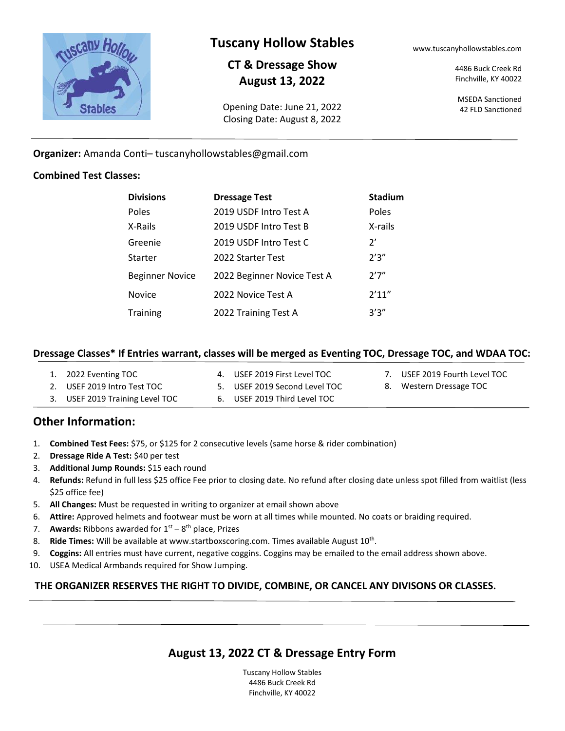

# **Tuscany Hollow Stables**

# **CT & Dressage Show August 13, 2022**

Opening Date: June 21, 2022 Closing Date: August 8, 2022 www.tuscanyhollowstables.com

4486 Buck Creek Rd Finchville, KY 40022

MSEDA Sanctioned 42 FLD Sanctioned

#### **Organizer:** Amanda Conti– tuscanyhollowstables@gmail.com

#### **Combined Test Classes:**

| <b>Divisions</b> | <b>Dressage Test</b>        | <b>Stadium</b> |
|------------------|-----------------------------|----------------|
| Poles            | 2019 USDF Intro Test A      | Poles          |
| X-Rails          | 2019 USDF Intro Test B      | X-rails        |
| Greenie          | 2019 USDF Intro Test C      | 2'             |
| Starter          | 2022 Starter Test           | 2'3''          |
| Beginner Novice  | 2022 Beginner Novice Test A | 2'7''          |
| Novice           | 2022 Novice Test A          | 2'11''         |
| <b>Training</b>  | 2022 Training Test A        | 3'3''          |

#### **Dressage Classes\* If Entries warrant, classes will be merged as Eventing TOC, Dressage TOC, and WDAA TOC:**

| 1. 2022 Eventing TOC            | 4. USEF 2019 First Level TOC  | 7. USEF 2019 Fourth Level TOC |
|---------------------------------|-------------------------------|-------------------------------|
| 2. USEF 2019 Intro Test TOC     | 5. USEF 2019 Second Level TOC | 8. Western Dressage TOC       |
| 3. USEF 2019 Training Level TOC | 6. USEF 2019 Third Level TOC  |                               |

# **Other Information:**

- 1. **Combined Test Fees:** \$75, or \$125 for 2 consecutive levels (same horse & rider combination)
- 2. **Dressage Ride A Test:** \$40 per test
- 3. **Additional Jump Rounds:** \$15 each round
- 4. **Refunds:** Refund in full less \$25 office Fee prior to closing date. No refund after closing date unless spot filled from waitlist (less \$25 office fee)
- 5. **All Changes:** Must be requested in writing to organizer at email shown above
- 6. **Attire:** Approved helmets and footwear must be worn at all times while mounted. No coats or braiding required.
- 7. **Awards:** Ribbons awarded for 1<sup>st</sup> 8<sup>th</sup> place, Prizes
- 8. Ride Times: Will be available at www.startboxscoring.com. Times available August 10<sup>th</sup>.
- 9. **Coggins:** All entries must have current, negative coggins. Coggins may be emailed to the email address shown above.
- 10. USEA Medical Armbands required for Show Jumping.

#### **THE ORGANIZER RESERVES THE RIGHT TO DIVIDE, COMBINE, OR CANCEL ANY DIVISONS OR CLASSES.**

# **August 13, 2022 CT & Dressage Entry Form**

Tuscany Hollow Stables 4486 Buck Creek Rd Finchville, KY 40022